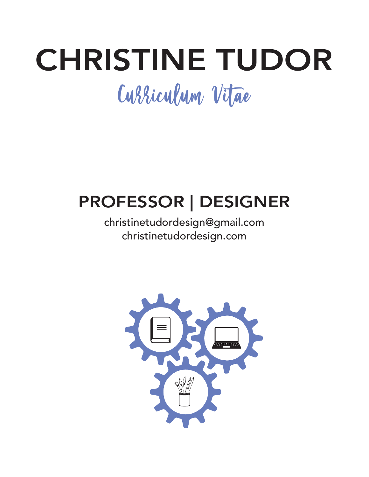# CHRISTINE TUDOR Curriculum Vitae

## PROFESSOR | DESIGNER

### christinetudordesign@gmail.com christinetudordesign.com

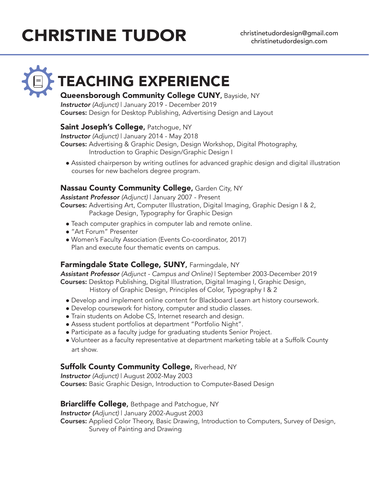# CHRISTINE TUDOR christinetudordesign@gmail.com

# TEACHING EXPERIENCE

#### Queensborough Community College CUNY, Bayside, NY

*Instructor (Adjunct)* | January 2019 - December 2019 Courses: Design for Desktop Publishing, Advertising Design and Layout

#### **Saint Joseph's College, Patchogue, NY**

*Instructor (Adjunct)* | January 2014 - May 2018

Courses: Advertising & Graphic Design, Design Workshop, Digital Photography, Introduction to Graphic Design/Graphic Design I

• Assisted chairperson by writing outlines for advanced graphic design and digital illustration courses for new bachelors degree program.

#### Nassau County Community College, Garden City, NY

*Assistant Professor (Adjunct)* | January 2007 - Present

Courses: Advertising Art, Computer Illustration, Digital Imaging, Graphic Design I & 2, Package Design, Typography for Graphic Design

- Teach computer graphics in computer lab and remote online.
- **.** "Art Forum" Presenter
- Women's Faculty Association (Events Co-coordinator, 2017) Plan and execute four thematic events on campus.

#### Farmingdale State College, SUNY, Farmingdale, NY

*Assistant Professor (Adjunct - Campus and Online)* | September 2003-December 2019 Courses: Desktop Publishing, Digital Illustration, Digital Imaging I, Graphic Design, History of Graphic Design, Principles of Color, Typography I & 2

- Develop and implement online content for Blackboard Learn art history coursework.
- Develop coursework for history, computer and studio classes.
- Train students on Adobe CS, Internet research and design.
- Assess student portfolios at department "Portfolio Night".
- Participate as a faculty judge for graduating students Senior Project.
- Volunteer as a faculty representative at department marketing table at a Suffolk County art show.

#### Suffolk County Community College, Riverhead, NY

*Instructor (Adjunct)* | August 2002-May 2003 Courses: Basic Graphic Design, Introduction to Computer-Based Design

#### **Briarcliffe College, Bethpage and Patchogue, NY**

*Instructor (Adjunct)* | January 2002-August 2003 Courses: Applied Color Theory, Basic Drawing, Introduction to Computers, Survey of Design, Survey of Painting and Drawing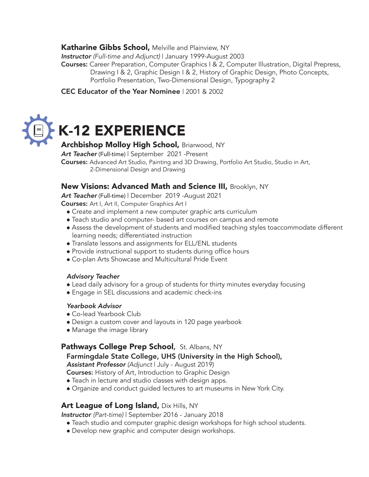#### **Katharine Gibbs School, Melville and Plainview, NY**

*Instructor (Full-time and Adjunct)* | January 1999-August 2003

Courses: Career Preparation, Computer Graphics I & 2, Computer Illustration, Digital Prepress, Drawing I & 2, Graphic Design I & 2, History of Graphic Design, Photo Concepts, Portfolio Presentation, Two-Dimensional Design, Typography 2

#### CEC Educator of the Year Nominee | 2001 & 2002

# K-12 EXPERIENCE

#### Archbishop Molloy High School, Briarwood, NY

*Art Teacher* (Full-time) | September 2021 -Present

Courses: Advanced Art Studio, Painting and 3D Drawing, Portfolio Art Studio, Studio in Art, 2-Dimensional Design and Drawing

#### New Visions: Advanced Math and Science III, Brooklyn, NY

*Art Teacher* (Full-time) | December 2019 -August 2021

Courses: Art I, Art II, Computer Graphics Art I

- Create and implement a new computer graphic arts curriculum
- Teach studio and computer- based art courses on campus and remote
- Assess the development of students and modified teaching styles toaccommodate different learning needs; differentiated instruction
- Translate lessons and assignments for ELL/ENL students
- Provide instructional support to students during office hours
- Co-plan Arts Showcase and Multicultural Pride Event

#### *Advisory Teacher*

- Lead daily advisory for a group of students for thirty minutes everyday focusing
- Engage in SEL discussions and academic check-ins

#### *Yearbook Advisor*

- Co-lead Yearbook Club
- Design a custom cover and layouts in 120 page yearbook
- Manage the image library

#### **Pathways College Prep School, St. Albans, NY**

Farmingdale State College, UHS (University in the High School),

*Assistant Professor (Adjunct* | July - August 2019)

Courses: History of Art, Introduction to Graphic Design

- Teach in lecture and studio classes with design apps.
- Organize and conduct guided lectures to art museums in New York City.

#### Art League of Long Island, Dix Hills, NY

*Instructor (Part-time)* | September 2016 - January 2018

- Teach studio and computer graphic design workshops for high school students.
- Develop new graphic and computer design workshops.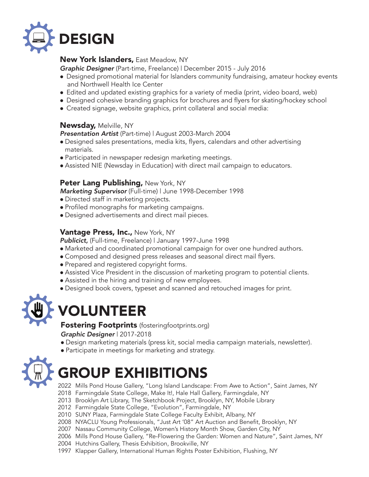

#### New York Islanders, East Meadow, NY

*Graphic Designer* (Part-time, Freelance) | December 2015 - July 2016

- Designed promotional material for Islanders community fundraising, amateur hockey events and Northwell Health Ice Center
- Edited and updated existing graphics for a variety of media (print, video board, web)
- Designed cohesive branding graphics for brochures and flyers for skating/hockey school
- Created signage, website graphics, print collateral and social media:

#### Newsday, Melville, NY

*Presentation Artist* (Part-time) | August 2003-March 2004

- Designed sales presentations, media kits, flyers, calendars and other advertising materials.
- Participated in newspaper redesign marketing meetings.
- Assisted NIE (Newsday in Education) with direct mail campaign to educators.

#### Peter Lang Publishing, New York, NY

*Marketing Supervisor* (Full-time) | June 1998-December 1998

- Directed staff in marketing projects.
- Profiled monographs for marketing campaigns.
- Designed advertisements and direct mail pieces.

#### **Vantage Press, Inc., New York, NY**

*Publicict,* (Full-time, Freelance) | January 1997-June 1998

- Marketed and coordinated promotional campaign for over one hundred authors.
- Composed and designed press releases and seasonal direct mail flyers.
- Prepared and registered copyright forms.
- Assisted Vice President in the discussion of marketing program to potential clients.
- Assisted in the hiring and training of new employees.
- Designed book covers, typeset and scanned and retouched images for print.



### VOLUNTEER

Fostering Footprints (fosteringfootprints.org) *Graphic Designer* | 2017-2018

- · Design marketing materials (press kit, social media campaign materials, newsletter).
- Participate in meetings for marketing and strategy.



### GROUP EXHIBITIONS

2022 Mills Pond House Gallery, "Long Island Landscape: From Awe to Action", Saint James, NY

- 2018 Farmingdale State College, Make It!, Hale Hall Gallery, Farmingdale, NY
- 2013 Brooklyn Art Library, The Sketchbook Project, Brooklyn, NY, Mobile Library
- 2012 Farmingdale State College, "Evolution", Farmingdale, NY
- 2010 SUNY Plaza, Farmingdale State College Faculty Exhibit, Albany, NY
- 2008 NYACLU Young Professionals, "Just Art '08" Art Auction and Benefit, Brooklyn, NY
- 2007 Nassau Community College, Women's History Month Show, Garden City, NY
- 2006 Mills Pond House Gallery, "Re-Flowering the Garden: Women and Nature", Saint James, NY
- 2004 Hutchins Gallery, Thesis Exhibition, Brookville, NY
- 1997 Klapper Gallery, International Human Rights Poster Exhibition, Flushing, NY